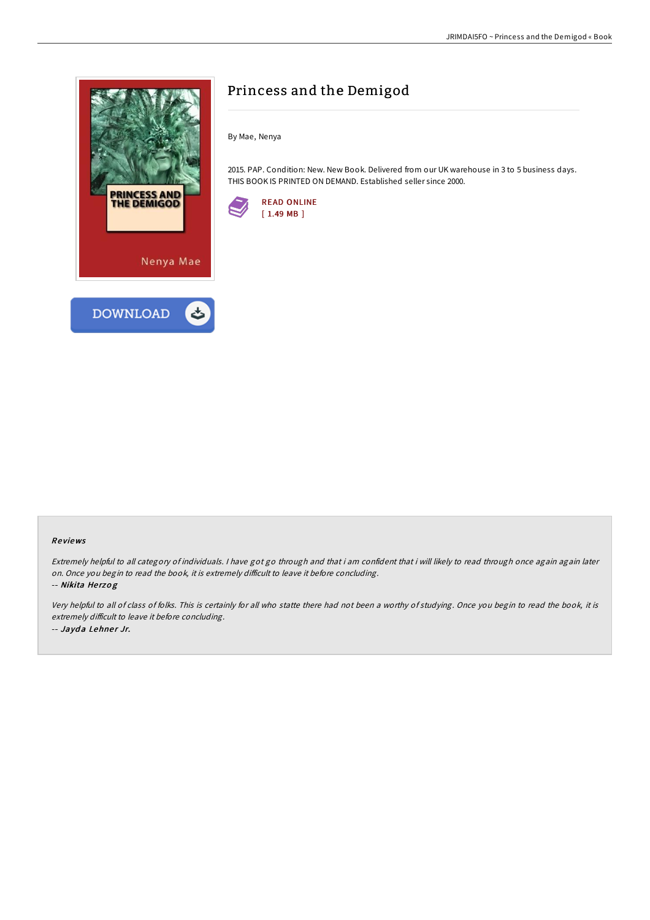

# Princess and the Demigod

By Mae, Nenya

2015. PAP. Condition: New. New Book. Delivered from our UK warehouse in 3 to 5 business days. THIS BOOK IS PRINTED ON DEMAND. Established seller since 2000.



#### Re views

Extremely helpful to all category of individuals. <sup>I</sup> have got go through and that i am confident that i will likely to read through once again again later on. Once you begin to read the book, it is extremely difficult to leave it before concluding.

-- Nikita Herzog

Very helpful to all of class of folks. This is certainly for all who statte there had not been <sup>a</sup> worthy of studying. Once you begin to read the book, it is extremely difficult to leave it before concluding. -- Jayda Lehner Jr.